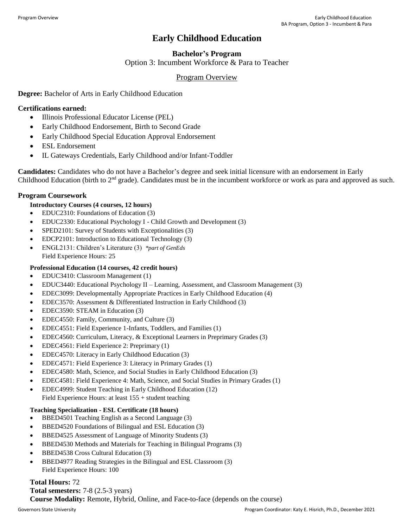# **Early Childhood Education**

# **Bachelor's Program**

Option 3: Incumbent Workforce & Para to Teacher

## Program Overview

## **Degree:** Bachelor of Arts in Early Childhood Education

## **Certifications earned:**

- Illinois Professional Educator License (PEL)
- Early Childhood Endorsement, Birth to Second Grade
- Early Childhood Special Education Approval Endorsement
- ESL Endorsement
- IL Gateways Credentials, Early Childhood and/or Infant-Toddler

**Candidates:** Candidates who do not have a Bachelor's degree and seek initial licensure with an endorsement in Early Childhood Education (birth to 2<sup>nd</sup> grade). Candidates must be in the incumbent workforce or work as para and approved as such.

## **Program Coursework**

## **Introductory Courses (4 courses, 12 hours)**

- EDUC2310: Foundations of Education (3)
- EDUC2330: Educational Psychology I Child Growth and Development (3)
- SPED2101: Survey of Students with Exceptionalities (3)
- EDCP2101: Introduction to Educational Technology (3)
- ENGL2131: Children's Literature (3) *\*part of GenEds* Field Experience Hours: 25

## **Professional Education (14 courses, 42 credit hours)**

- EDUC3410: Classroom Management (1)
- EDUC3440: Educational Psychology II Learning, Assessment, and Classroom Management (3)
- EDEC3099: Developmentally Appropriate Practices in Early Childhood Education (4)
- EDEC3570: Assessment & Differentiated Instruction in Early Childhood (3)
- EDEC3590: STEAM in Education (3)
- EDEC4550: Family, Community, and Culture (3)
- EDEC4551: Field Experience 1-Infants, Toddlers, and Families (1)
- EDEC4560: Curriculum, Literacy, & Exceptional Learners in Preprimary Grades (3)
- EDEC4561: Field Experience 2: Preprimary (1)
- EDEC4570: Literacy in Early Childhood Education (3)
- EDEC4571: Field Experience 3: Literacy in Primary Grades (1)
- EDEC4580: Math, Science, and Social Studies in Early Childhood Education (3)
- EDEC4581: Field Experience 4: Math, Science, and Social Studies in Primary Grades (1)
- EDEC4999: Student Teaching in Early Childhood Education (12) Field Experience Hours: at least 155 + student teaching

## **Teaching Specialization - ESL Certificate (18 hours)**

- BBED4501 Teaching English as a Second Language (3)
- BBED4520 Foundations of Bilingual and ESL Education (3)
- BBED4525 Assessment of Language of Minority Students (3)
- BBED4530 Methods and Materials for Teaching in Bilingual Programs (3)
- BBED4538 Cross Cultural Education (3)
- BBED4977 Reading Strategies in the Bilingual and ESL Classroom (3) Field Experience Hours: 100

#### **Total Hours:** 72

**Total semesters:** 7-8 (2.5-3 years) **Course Modality:** Remote, Hybrid, Online, and Face-to-face (depends on the course)